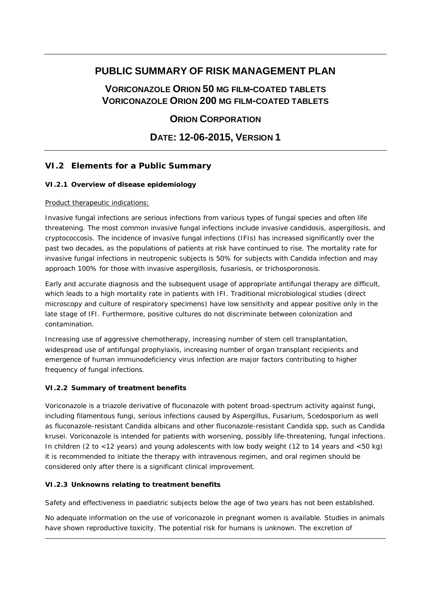# **PUBLIC SUMMARY OF RISK MANAGEMENT PLAN**

# **VORICONAZOLE ORION 50 MG FILM-COATED TABLETS VORICONAZOLE ORION 200 MG FILM-COATED TABLETS**

## **ORION CORPORATION**

# **DATE: 12-06-2015, VERSION 1**

## **VI.2 Elements for a Public Summary**

### *VI.2.1 Overview of disease epidemiology*

#### Product therapeutic indications:

Invasive fungal infections are serious infections from various types of fungal species and often life threatening. The most common invasive fungal infections include invasive candidosis, aspergillosis, and cryptococcosis. The incidence of invasive fungal infections (IFIs) has increased significantly over the past two decades, as the populations of patients at risk have continued to rise. The mortality rate for invasive fungal infections in neutropenic subjects is 50% for subjects with Candida infection and may approach 100% for those with invasive aspergillosis, fusariosis, or trichosporonosis.

Early and accurate diagnosis and the subsequent usage of appropriate antifungal therapy are difficult, which leads to a high mortality rate in patients with IFI. Traditional microbiological studies (direct microscopy and culture of respiratory specimens) have low sensitivity and appear positive only in the late stage of IFI. Furthermore, positive cultures do not discriminate between colonization and contamination.

Increasing use of aggressive chemotherapy, increasing number of stem cell transplantation, widespread use of antifungal prophylaxis, increasing number of organ transplant recipients and emergence of human immunodeficiency virus infection are major factors contributing to higher frequency of fungal infections.

### *VI.2.2 Summary of treatment benefits*

Voriconazole is a triazole derivative of fluconazole with potent broad-spectrum activity against fungi, including filamentous fungi, serious infections caused by Aspergillus, Fusarium, Scedosporium as well as fluconazole-resistant Candida albicans and other fluconazole-resistant Candida spp, such as Candida krusei. Voriconazole is intended for patients with worsening, possibly life-threatening, fungal infections. In children (2 to <12 years) and young adolescents with low body weight (12 to 14 years and <50 kg) it is recommended to initiate the therapy with intravenous regimen, and oral regimen should be considered only after there is a significant clinical improvement.

### *VI.2.3 Unknowns relating to treatment benefits*

Safety and effectiveness in paediatric subjects below the age of two years has not been established.

No adequate information on the use of voriconazole in pregnant women is available. Studies in animals have shown reproductive toxicity. The potential risk for humans is unknown. The excretion of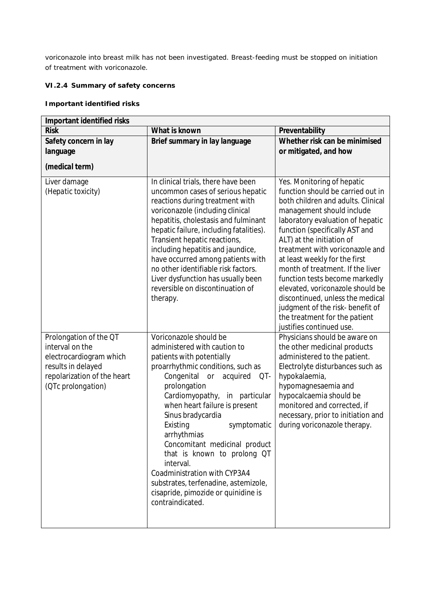voriconazole into breast milk has not been investigated. Breast-feeding must be stopped on initiation of treatment with voriconazole.

#### *VI.2.4 Summary of safety concerns*

**Important identified risks**

| Important identified risks                                                                                                                      |                                                                                                                                                                                                                                                                                                                                                                                                                                                                                                                                     |                                                                                                                                                                                                                                                                                                                                                                                                                                                                                                                                                          |  |  |  |
|-------------------------------------------------------------------------------------------------------------------------------------------------|-------------------------------------------------------------------------------------------------------------------------------------------------------------------------------------------------------------------------------------------------------------------------------------------------------------------------------------------------------------------------------------------------------------------------------------------------------------------------------------------------------------------------------------|----------------------------------------------------------------------------------------------------------------------------------------------------------------------------------------------------------------------------------------------------------------------------------------------------------------------------------------------------------------------------------------------------------------------------------------------------------------------------------------------------------------------------------------------------------|--|--|--|
| <b>Risk</b>                                                                                                                                     | What is known                                                                                                                                                                                                                                                                                                                                                                                                                                                                                                                       | Preventability                                                                                                                                                                                                                                                                                                                                                                                                                                                                                                                                           |  |  |  |
| Safety concern in lay<br>language<br>(medical term)                                                                                             | Brief summary in lay language                                                                                                                                                                                                                                                                                                                                                                                                                                                                                                       | Whether risk can be minimised<br>or mitigated, and how                                                                                                                                                                                                                                                                                                                                                                                                                                                                                                   |  |  |  |
| Liver damage<br>(Hepatic toxicity)                                                                                                              | In clinical trials, there have been<br>uncommon cases of serious hepatic<br>reactions during treatment with<br>voriconazole (including clinical<br>hepatitis, cholestasis and fulminant<br>hepatic failure, including fatalities).<br>Transient hepatic reactions,<br>including hepatitis and jaundice,<br>have occurred among patients with<br>no other identifiable risk factors.<br>Liver dysfunction has usually been<br>reversible on discontinuation of<br>therapy.                                                           | Yes. Monitoring of hepatic<br>function should be carried out in<br>both children and adults. Clinical<br>management should include<br>laboratory evaluation of hepatic<br>function (specifically AST and<br>ALT) at the initiation of<br>treatment with voriconazole and<br>at least weekly for the first<br>month of treatment. If the liver<br>function tests become markedly<br>elevated, voriconazole should be<br>discontinued, unless the medical<br>judgment of the risk- benefit of<br>the treatment for the patient<br>justifies continued use. |  |  |  |
| Prolongation of the QT<br>interval on the<br>electrocardiogram which<br>results in delayed<br>repolarization of the heart<br>(OTc prolongation) | Voriconazole should be<br>administered with caution to<br>patients with potentially<br>proarrhythmic conditions, such as<br>Congenital<br>acquired<br>or<br>QT-<br>prolongation<br>Cardiomyopathy,<br>in particular<br>when heart failure is present<br>Sinus bradycardia<br>Existing<br>symptomatic<br>arrhythmias<br>Concomitant medicinal product<br>that is known to prolong QT<br>interval.<br>Coadministration with CYP3A4<br>substrates, terfenadine, astemizole,<br>cisapride, pimozide or quinidine is<br>contraindicated. | Physicians should be aware on<br>the other medicinal products<br>administered to the patient.<br>Electrolyte disturbances such as<br>hypokalaemia,<br>hypomagnesaemia and<br>hypocalcaemia should be<br>monitored and corrected, if<br>necessary, prior to initiation and<br>during voriconazole therapy.                                                                                                                                                                                                                                                |  |  |  |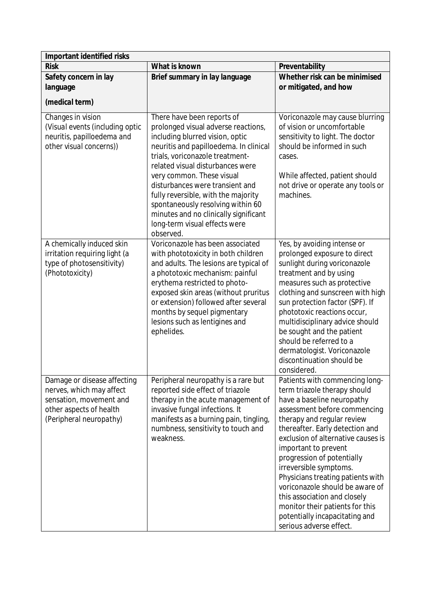| Important identified risks                                                                                                               |                                                                                                                                                                                                                                                                                                                                                                                                                                                          |                                                                                                                                                                                                                                                                                                                                                                                                                                                                                                                             |  |  |
|------------------------------------------------------------------------------------------------------------------------------------------|----------------------------------------------------------------------------------------------------------------------------------------------------------------------------------------------------------------------------------------------------------------------------------------------------------------------------------------------------------------------------------------------------------------------------------------------------------|-----------------------------------------------------------------------------------------------------------------------------------------------------------------------------------------------------------------------------------------------------------------------------------------------------------------------------------------------------------------------------------------------------------------------------------------------------------------------------------------------------------------------------|--|--|
| <b>Risk</b>                                                                                                                              | What is known                                                                                                                                                                                                                                                                                                                                                                                                                                            | Preventability                                                                                                                                                                                                                                                                                                                                                                                                                                                                                                              |  |  |
| Safety concern in lay<br>language                                                                                                        | Brief summary in lay language                                                                                                                                                                                                                                                                                                                                                                                                                            | Whether risk can be minimised<br>or mitigated, and how                                                                                                                                                                                                                                                                                                                                                                                                                                                                      |  |  |
| (medical term)                                                                                                                           |                                                                                                                                                                                                                                                                                                                                                                                                                                                          |                                                                                                                                                                                                                                                                                                                                                                                                                                                                                                                             |  |  |
| Changes in vision<br>(Visual events (including optic<br>neuritis, papilloedema and<br>other visual concerns))                            | There have been reports of<br>prolonged visual adverse reactions,<br>including blurred vision, optic<br>neuritis and papilloedema. In clinical<br>trials, voriconazole treatment-<br>related visual disturbances were<br>very common. These visual<br>disturbances were transient and<br>fully reversible, with the majority<br>spontaneously resolving within 60<br>minutes and no clinically significant<br>long-term visual effects were<br>observed. | Voriconazole may cause blurring<br>of vision or uncomfortable<br>sensitivity to light. The doctor<br>should be informed in such<br>cases.<br>While affected, patient should<br>not drive or operate any tools or<br>machines.                                                                                                                                                                                                                                                                                               |  |  |
| A chemically induced skin<br>irritation requiring light (a<br>type of photosensitivity)<br>(Phototoxicity)                               | Voriconazole has been associated<br>with phototoxicity in both children<br>and adults. The lesions are typical of<br>a phototoxic mechanism: painful<br>erythema restricted to photo-<br>exposed skin areas (without pruritus<br>or extension) followed after several<br>months by sequel pigmentary<br>lesions such as lentigines and<br>ephelides.                                                                                                     | Yes, by avoiding intense or<br>prolonged exposure to direct<br>sunlight during voriconazole<br>treatment and by using<br>measures such as protective<br>clothing and sunscreen with high<br>sun protection factor (SPF). If<br>phototoxic reactions occur,<br>multidisciplinary advice should<br>be sought and the patient<br>should be referred to a<br>dermatologist. Voriconazole<br>discontinuation should be<br>considered.                                                                                            |  |  |
| Damage or disease affecting<br>nerves, which may affect<br>sensation, movement and<br>other aspects of health<br>(Peripheral neuropathy) | Peripheral neuropathy is a rare but<br>reported side effect of triazole<br>therapy in the acute management of<br>invasive fungal infections. It<br>manifests as a burning pain, tingling,<br>numbness, sensitivity to touch and<br>weakness.                                                                                                                                                                                                             | Patients with commencing long-<br>term triazole therapy should<br>have a baseline neuropathy<br>assessment before commencing<br>therapy and regular review<br>thereafter. Early detection and<br>exclusion of alternative causes is<br>important to prevent<br>progression of potentially<br>irreversible symptoms.<br>Physicians treating patients with<br>voriconazole should be aware of<br>this association and closely<br>monitor their patients for this<br>potentially incapacitating and<br>serious adverse effect. |  |  |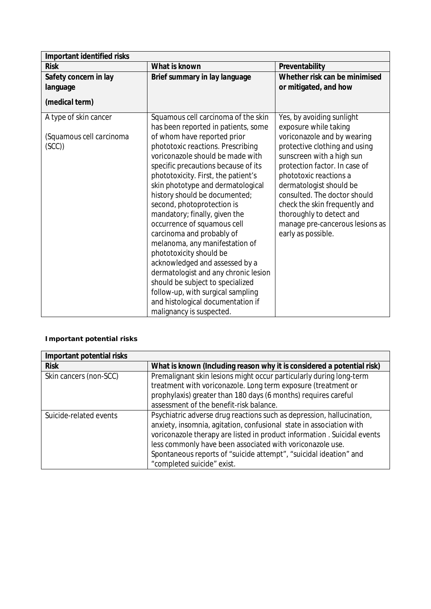| Important identified risks                                 |                                                                                                                                                                                                                                                                                                                                                                                                                                                                                                                                                                  |                                                                                                                                                                                                                                                                                                                                                                                             |  |  |
|------------------------------------------------------------|------------------------------------------------------------------------------------------------------------------------------------------------------------------------------------------------------------------------------------------------------------------------------------------------------------------------------------------------------------------------------------------------------------------------------------------------------------------------------------------------------------------------------------------------------------------|---------------------------------------------------------------------------------------------------------------------------------------------------------------------------------------------------------------------------------------------------------------------------------------------------------------------------------------------------------------------------------------------|--|--|
| <b>Risk</b>                                                | What is known                                                                                                                                                                                                                                                                                                                                                                                                                                                                                                                                                    | Preventability                                                                                                                                                                                                                                                                                                                                                                              |  |  |
| Safety concern in lay                                      | Brief summary in lay language                                                                                                                                                                                                                                                                                                                                                                                                                                                                                                                                    | Whether risk can be minimised                                                                                                                                                                                                                                                                                                                                                               |  |  |
| language                                                   |                                                                                                                                                                                                                                                                                                                                                                                                                                                                                                                                                                  | or mitigated, and how                                                                                                                                                                                                                                                                                                                                                                       |  |  |
| (medical term)                                             |                                                                                                                                                                                                                                                                                                                                                                                                                                                                                                                                                                  |                                                                                                                                                                                                                                                                                                                                                                                             |  |  |
| A type of skin cancer<br>(Squamous cell carcinoma<br>(SCC) | Squamous cell carcinoma of the skin<br>has been reported in patients, some<br>of whom have reported prior<br>phototoxic reactions. Prescribing<br>voriconazole should be made with<br>specific precautions because of its<br>phototoxicity. First, the patient's<br>skin phototype and dermatological<br>history should be documented;<br>second, photoprotection is<br>mandatory; finally, given the<br>occurrence of squamous cell<br>carcinoma and probably of<br>melanoma, any manifestation of<br>phototoxicity should be<br>acknowledged and assessed by a | Yes, by avoiding sunlight<br>exposure while taking<br>voriconazole and by wearing<br>protective clothing and using<br>sunscreen with a high sun<br>protection factor. In case of<br>phototoxic reactions a<br>dermatologist should be<br>consulted. The doctor should<br>check the skin frequently and<br>thoroughly to detect and<br>manage pre-cancerous lesions as<br>early as possible. |  |  |
|                                                            | dermatologist and any chronic lesion<br>should be subject to specialized<br>follow-up, with surgical sampling<br>and histological documentation if                                                                                                                                                                                                                                                                                                                                                                                                               |                                                                                                                                                                                                                                                                                                                                                                                             |  |  |
|                                                            | malignancy is suspected.                                                                                                                                                                                                                                                                                                                                                                                                                                                                                                                                         |                                                                                                                                                                                                                                                                                                                                                                                             |  |  |

**Important potential risks**

| Important potential risks |                                                                          |  |  |
|---------------------------|--------------------------------------------------------------------------|--|--|
| <b>Risk</b>               | What is known (Including reason why it is considered a potential risk)   |  |  |
| Skin cancers (non-SCC)    | Premalignant skin lesions might occur particularly during long-term      |  |  |
|                           | treatment with voriconazole. Long term exposure (treatment or            |  |  |
|                           | prophylaxis) greater than 180 days (6 months) requires careful           |  |  |
|                           | assessment of the benefit-risk balance.                                  |  |  |
| Suicide-related events    | Psychiatric adverse drug reactions such as depression, hallucination,    |  |  |
|                           | anxiety, insomnia, agitation, confusional state in association with      |  |  |
|                           | voriconazole therapy are listed in product information . Suicidal events |  |  |
|                           | less commonly have been associated with voriconazole use.                |  |  |
|                           | Spontaneous reports of "suicide attempt", "suicidal ideation" and        |  |  |
|                           | "completed suicide" exist.                                               |  |  |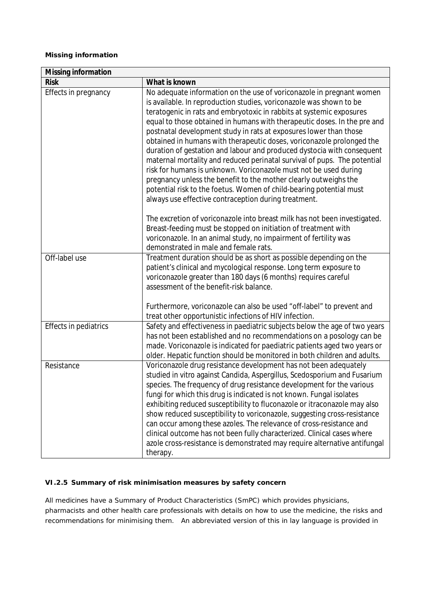#### **Missing information**

| Missing information   |                                                                                                                                                                                                                                                                                                                                                                                                                                                                                                                                                                                                                                                                                                                                                                                                                                                                            |  |
|-----------------------|----------------------------------------------------------------------------------------------------------------------------------------------------------------------------------------------------------------------------------------------------------------------------------------------------------------------------------------------------------------------------------------------------------------------------------------------------------------------------------------------------------------------------------------------------------------------------------------------------------------------------------------------------------------------------------------------------------------------------------------------------------------------------------------------------------------------------------------------------------------------------|--|
| <b>Risk</b>           | What is known                                                                                                                                                                                                                                                                                                                                                                                                                                                                                                                                                                                                                                                                                                                                                                                                                                                              |  |
| Effects in pregnancy  | No adequate information on the use of voriconazole in pregnant women<br>is available. In reproduction studies, voriconazole was shown to be<br>teratogenic in rats and embryotoxic in rabbits at systemic exposures<br>equal to those obtained in humans with therapeutic doses. In the pre and<br>postnatal development study in rats at exposures lower than those<br>obtained in humans with therapeutic doses, voriconazole prolonged the<br>duration of gestation and labour and produced dystocia with consequent<br>maternal mortality and reduced perinatal survival of pups. The potential<br>risk for humans is unknown. Voriconazole must not be used during<br>pregnancy unless the benefit to the mother clearly outweighs the<br>potential risk to the foetus. Women of child-bearing potential must<br>always use effective contraception during treatment. |  |
|                       | The excretion of voriconazole into breast milk has not been investigated.<br>Breast-feeding must be stopped on initiation of treatment with<br>voriconazole. In an animal study, no impairment of fertility was<br>demonstrated in male and female rats.                                                                                                                                                                                                                                                                                                                                                                                                                                                                                                                                                                                                                   |  |
| Off-label use         | Treatment duration should be as short as possible depending on the<br>patient's clinical and mycological response. Long term exposure to<br>voriconazole greater than 180 days (6 months) requires careful<br>assessment of the benefit-risk balance.                                                                                                                                                                                                                                                                                                                                                                                                                                                                                                                                                                                                                      |  |
|                       | Furthermore, voriconazole can also be used "off-label" to prevent and<br>treat other opportunistic infections of HIV infection.                                                                                                                                                                                                                                                                                                                                                                                                                                                                                                                                                                                                                                                                                                                                            |  |
| Effects in pediatrics | Safety and effectiveness in paediatric subjects below the age of two years<br>has not been established and no recommendations on a posology can be<br>made. Voriconazole is indicated for paediatric patients aged two years or<br>older. Hepatic function should be monitored in both children and adults.                                                                                                                                                                                                                                                                                                                                                                                                                                                                                                                                                                |  |
| Resistance            | Voriconazole drug resistance development has not been adequately<br>studied in vitro against Candida, Aspergillus, Scedosporium and Fusarium<br>species. The frequency of drug resistance development for the various<br>fungi for which this drug is indicated is not known. Fungal isolates<br>exhibiting reduced susceptibility to fluconazole or itraconazole may also<br>show reduced susceptibility to voriconazole, suggesting cross-resistance<br>can occur among these azoles. The relevance of cross-resistance and<br>clinical outcome has not been fully characterized. Clinical cases where<br>azole cross-resistance is demonstrated may require alternative antifungal<br>therapy.                                                                                                                                                                          |  |

### *VI.2.5 Summary of risk minimisation measures by safety concern*

All medicines have a Summary of Product Characteristics (SmPC) which provides physicians, pharmacists and other health care professionals with details on how to use the medicine, the risks and recommendations for minimising them. An abbreviated version of this in lay language is provided in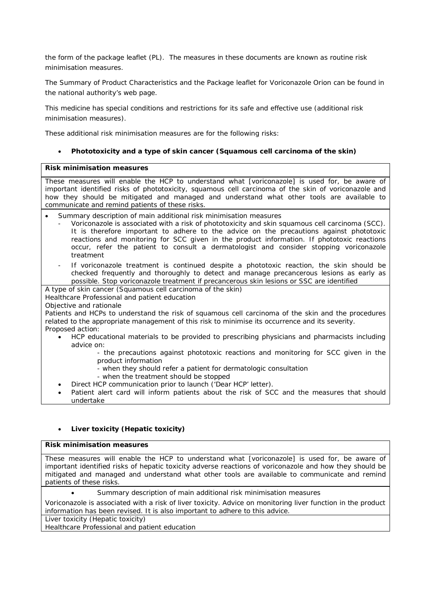the form of the package leaflet (PL). The measures in these documents are known as routine risk minimisation measures.

The Summary of Product Characteristics and the Package leaflet for Voriconazole Orion can be found in the national authority's web page.

This medicine has special conditions and restrictions for its safe and effective use (additional risk minimisation measures).

These additional risk minimisation measures are for the following risks:

**•** Phototoxicity and a type of skin cancer (Squamous cell carcinoma of the skin)

#### **Risk minimisation measures**

These measures will enable the HCP to understand what [voriconazole] is used for, be aware of important identified risks of phototoxicity, squamous cell carcinoma of the skin of voriconazole and how they should be mitigated and managed and understand what other tools are available to communicate and remind patients of these risks.

- Summary description of main additional risk minimisation measures
	- Voriconazole is associated with a risk of phototoxicity and skin squamous cell carcinoma (SCC). It is therefore important to adhere to the advice on the precautions against phototoxic reactions and monitoring for SCC given in the product information. If phototoxic reactions occur, refer the patient to consult a dermatologist and consider stopping voriconazole treatment
	- If voriconazole treatment is continued despite a phototoxic reaction, the skin should be checked frequently and thoroughly to detect and manage precancerous lesions as early as possible. Stop voriconazole treatment if precancerous skin lesions or SSC are identified
- A type of skin cancer (Squamous cell carcinoma of the skin)

Healthcare Professional and patient education

Objective and rationale

Patients and HCPs to understand the risk of squamous cell carcinoma of the skin and the procedures related to the appropriate management of this risk to minimise its occurrence and its severity. Proposed action:

- x HCP educational materials to be provided to prescribing physicians and pharmacists including advice on:
	- the precautions against phototoxic reactions and monitoring for SCC given in the product information
		- when they should refer a patient for dermatologic consultation
		- when the treatment should be stopped
- Direct HCP communication prior to launch ('Dear HCP' letter).
- Patient alert card will inform patients about the risk of SCC and the measures that should undertake
- x **Liver toxicity (Hepatic toxicity)**

**Risk minimisation measures**

These measures will enable the HCP to understand what [voriconazole] is used for, be aware of important identified risks of hepatic toxicity adverse reactions of voriconazole and how they should be mitigated and managed and understand what other tools are available to communicate and remind patients of these risks.

Summary description of main additional risk minimisation measures

Voriconazole is associated with a risk of liver toxicity. Advice on monitoring liver function in the product information has been revised. It is also important to adhere to this advice.

Liver toxicity (Hepatic toxicity)

Healthcare Professional and patient education